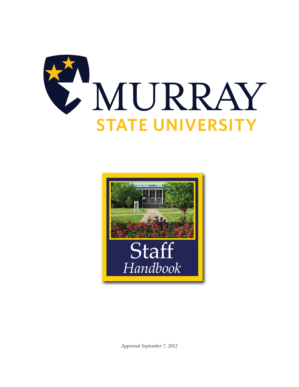



*Approved September 7, 2012*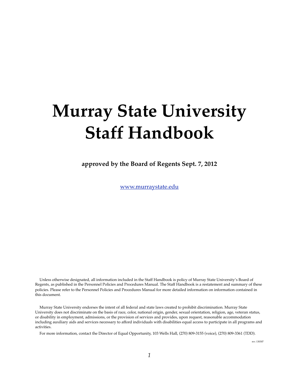# **Murray State University Staff Handbook**

**approved by the Board of Regents Sept. 7, 2012**

[www.murraystate.edu](http://www.murraystate.edu)

Unless otherwise designated, all information included in the Staff Handbook is policy of Murray State University's Board of Regents, as published in the Personnel Policies and Procedures Manual. The Staff Handbook is a restatement and summary of these policies. Please refer to the Personnel Policies and Procedures Manual for more detailed information on information contained in this document.

Murray State University endorses the intent of all federal and state laws created to prohibit discrimination. Murray State University does not discriminate on the basis of race, color, national origin, gender, sexual orientation, religion, age, veteran status, or disability in employment, admissions, or the provision of services and provides, upon request, reasonable accommodation including auxiliary aids and services necessary to afford individuals with disabilities equal access to participate in all programs and activities.

For more information, contact the Director of Equal Opportunity, 103 Wells Hall, (270) 809-3155 (voice), (270) 809-3361 (TDD).

rev. 130307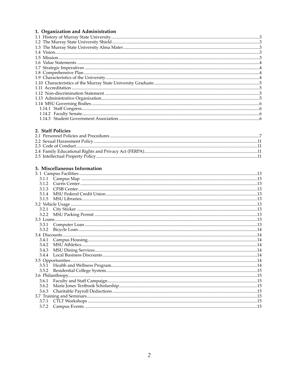# 1. Organization and Administration

# 2. Staff Policies

# 3. Miscellaneous Information

|       | 115cc11ancous mnomiadon |  |
|-------|-------------------------|--|
|       |                         |  |
| 3.1.1 |                         |  |
| 3.1.2 |                         |  |
| 3.1.3 |                         |  |
| 3.1.4 |                         |  |
| 3.1.5 |                         |  |
|       |                         |  |
| 3.2.1 |                         |  |
| 3.2.2 |                         |  |
|       |                         |  |
| 3.3.1 |                         |  |
| 3.3.2 |                         |  |
|       |                         |  |
| 3.4.1 |                         |  |
| 3.4.2 |                         |  |
| 3.4.3 |                         |  |
| 3.4.4 |                         |  |
|       |                         |  |
|       |                         |  |
| 3.5.2 |                         |  |
|       |                         |  |
| 3.6.1 |                         |  |
| 3.6.2 |                         |  |
| 3.6.3 |                         |  |
|       |                         |  |
| 3.7.1 |                         |  |
| 3.7.2 |                         |  |
|       |                         |  |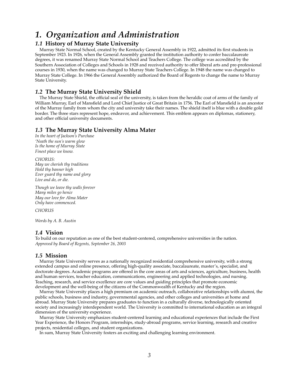# *1. Organization and Administration*

# *1.1* **History of Murray State University**

Murray State Normal School, created by the Kentucky General Assembly in 1922, admitted its first students in September 1923. In 1926, when the General Assembly granted the institution authority to confer baccalaureate degrees, it was renamed Murray State Normal School and Teachers College. The college was accredited by the Southern Association of Colleges and Schools in 1928 and received authority to offer liberal arts and pre-professional courses in 1930, when the name was changed to Murray State Teachers College. In 1948 the name was changed to Murray State College. In 1966 the General Assembly authorized the Board of Regents to change the name to Murray State University.

#### *1.2* **The Murray State University Shield**

The Murray State Shield, the official seal of the university, is taken from the heraldic coat of arms of the family of William Murray, Earl of Mansfield and Lord Chief Justice of Great Britain in 1756. The Earl of Mansfield is an ancestor of the Murray family from whom the city and university take their names. The shield itself is blue with a double gold border. The three stars represent hope, endeavor, and achievement. This emblem appears on diplomas, stationery, and other official university documents.

#### *1.3* **The Murray State University Alma Mater**

*In the heart of Jackson's Purchase 'Neath the sun's warm glow Is the home of Murray State Finest place we know.*

*CHORUS: May we cherish thy traditions Hold thy banner high Ever guard thy name and glory Live and do, or die.*

*Though we leave thy walls forever Many miles go hence May our love for Alma Mater Only have commenced.*

*CHORUS*

*Words by A. B. Austin*

#### *1.4* **Vision**

To build on our reputation as one of the best student-centered, comprehensive universities in the nation. *Approved by Board of Regents, September 26, 2003*

#### *1.5* **Mission**

Murray State University serves as a nationally recognized residential comprehensive university, with a strong extended campus and online presence, offering high-quality associate, baccalaureate, master's, specialist, and doctorate degrees. Academic programs are offered in the core areas of arts and sciences, agriculture, business, health and human services, teacher education, communications, engineering and applied technologies, and nursing. Teaching, research, and service excellence are core values and guiding principles that promote economic development and the well-being of the citizens of the Commonwealth of Kentucky and the region.

Murray State University places a high premium on academic outreach, collaborative relationships with alumni, the public schools, business and industry, governmental agencies, and other colleges and universities at home and abroad. Murray State University prepares graduates to function in a culturally diverse, technologically oriented society and increasingly interdependent world. The University is committed to international education as an integral dimension of the university experience.

Murray State University emphasizes student-centered learning and educational experiences that include the First Year Experience, the Honors Program, internships, study-abroad programs, service learning, research and creative projects, residential colleges, and student organizations.

In sum, Murray State University fosters an exciting and challenging learning environment.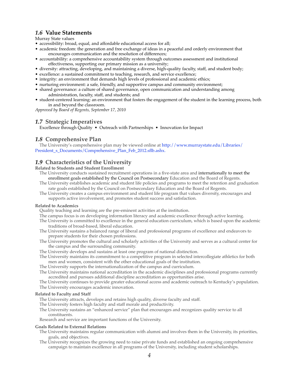# *1.6* **Value Statements**

Murray State values

- accessibility: broad, equal, and affordable educational access for all;
- academic freedom: the generation and free exchange of ideas in a peaceful and orderly environment that encourages communication and the resolution of differences;
- accountability: a comprehensive accountability system through outcomes assessment and institutional effectiveness, supporting our primary mission as a university;
- diversity: attracting, developing, and maintaining a diverse, high-quality faculty, staff, and student body;
- excellence: a sustained commitment to teaching, research, and service excellence;
- integrity: an environment that demands high levels of professional and academic ethics;
- nurturing environment: a safe, friendly, and supportive campus and community environment;
- shared governance: a culture of shared governance, open communication and understanding among administration, faculty, staff, and students; and
- student-centered learning: an environment that fosters the engagement of the student in the learning process, both in and beyond the classroom.

*Approved by Board of Regents, September 17, 2010*

# *1.7* **Strategic Imperatives**

Excellence through Quality • Outreach with Partnerships • Innovation for Impact

# *1.8* **Comprehensive Plan**

The University's comprehensive plan may be viewed online at [http://www.murraystate.edu/Libraries/](http://www.murraystate.edu/Libraries/President_s_Documents/Comprehensive_Plan_Feb_2012.sflb.ashx) [President\\_s\\_Documents/Comprehensive\\_Plan\\_Feb\\_2012.sflb.ashx.](http://www.murraystate.edu/Libraries/President_s_Documents/Comprehensive_Plan_Feb_2012.sflb.ashx)

# *1.9* **Characteristics of the University**

**Related to Students and Student Enrollment**

- The University conducts sustained recruitment operations in a five-state area and internationally to meet the enrollment goals established by the Council on Postsecondary Education and the Board of Regents.
- The University establishes academic and student life policies and programs to meet the retention and graduation rate goals established by the Council on Postsecondary Education and the Board of Regents.
- The University creates a campus environment and student life program that values diversity, encourages and supports active involvement, and promotes student success and satisfaction.

#### **Related to Academics**

- Quality teaching and learning are the pre-eminent activities at the institution.
- The campus focus is on developing information literacy and academic excellence through active learning.
- The University is committed to excellence in the general education curriculum, which is based upon the academic traditions of broad-based, liberal education.
- The University sustains a balanced range of liberal and professional programs of excellence and endeavors to prepare students for their chosen professions.
- The University promotes the cultural and scholarly activities of the University and serves as a cultural center for the campus and the surrounding community.
- The University develops and sustains at least one program of national distinction.
- The University maintains its commitment to a competitive program in selected intercollegiate athletics for both men and women, consistent with the other educational goals of the institution.
- The University supports the internationalization of the campus and curriculum.
- The University maintains national accreditation in the academic disciplines and professional programs currently accredited and pursues additional discipline accreditation as opportunities arise.
- The University continues to provide greater educational access and academic outreach to Kentucky's population.
- The University encourages academic innovation.

#### **Related to Faculty and Staff**

The University attracts, develops and retains high quality, diverse faculty and staff.

- The University fosters high faculty and staff morale and productivity.
- The University sustains an "enhanced service" plan that encourages and recognizes quality service to all constituents.

Research and service are important functions of the University.

#### **Goals Related to External Relations**

- The University maintains regular communication with alumni and involves them in the University, its priorities, goals, and objectives.
- The University recognizes the growing need to raise private funds and established an ongoing comprehensive campaign to maintain excellence in all programs of the University, including student scholarships.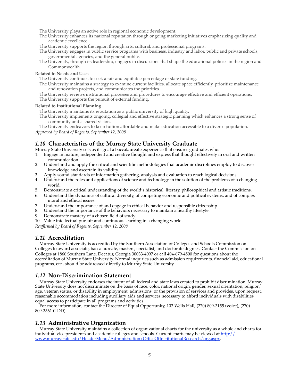The University plays an active role in regional economic development.

- The University enhances its national reputation through ongoing marketing initiatives emphasizing quality and academic excellence.
- The University supports the region through arts, cultural, and professional programs.
- The University engages in public service programs with business, industry and labor, public and private schools, governmental agencies, and the general public.
- The University, through its leadership, engages in discussions that shape the educational policies in the region and Commonwealth.

#### **Related to Needs and Uses**

The University continues to seek a fair and equitable percentage of state funding.

- The University maintains a strategy to examine current facilities, allocate space efficiently, prioritize maintenance and renovation projects, and communicates the priorities.
- The University reviews institutional processes and procedures to encourage effective and efficient operations.
- The University supports the pursuit of external funding.

#### **Related to Institutional Planning**

The University maintains its reputation as a public university of high quality.

The University implements ongoing, collegial and effective strategic planning which enhances a strong sense of community and a shared vision.

The University endeavors to keep tuition affordable and make education accessible to a diverse population. *Approved by Board of Regents, September 12, 2008*

# *1.10* **Characteristics of the Murray State University Graduate**

Murray State University sets as its goal a baccalaureate experience that ensures graduates who:

- 1. Engage in mature, independent and creative thought and express that thought effectively in oral and written communication.
- 2. Understand and apply the critical and scientific methodologies that academic disciplines employ to discover knowledge and ascertain its validity.
- 3. Apply sound standards of information gathering, analysis and evaluation to reach logical decisions.
- 4. Understand the roles and applications of science and technology in the solution of the problems of a changing world.
- 5. Demonstrate a critical understanding of the world's historical, literary, philosophical and artistic traditions.
- 6. Understand the dynamics of cultural diversity, of competing economic and political systems, and of complex moral and ethical issues.
- 7. Understand the importance of and engage in ethical behavior and responsible citizenship.
- 8. Understand the importance of the behaviors necessary to maintain a healthy lifestyle.
- 9. Demonstrate mastery of a chosen field of study.
- 10. Value intellectual pursuit and continuous learning in a changing world.

*Reaffirmed by Board of Regents, September 12, 2008*

#### *1.11* **Accreditation**

Murray State University is accredited by the Southern Association of Colleges and Schools Commission on Colleges to award associate, baccalaureate, masters, specialist, and doctorate degrees. Contact the Commission on Colleges at 1866 Southern Lane, Decatur, Georgia 30033-4097 or call 404-679-4500 for questions about the accreditation of Murray State University. Normal inquiries such as admission requirements, financial aid, educational programs, etc., should be addressed directly to Murray State University.

#### *1.12* **Non-Discrimination Statement**

Murray State University endorses the intent of all federal and state laws created to prohibit discrimination. Murray State University does not discriminate on the basis of race, color, national origin, gender, sexual orientation, religion, age, veteran status, or disability in employment, admissions, or the provision of services and provides, upon request, reasonable accommodation including auxiliary aids and services necessary to afford individuals with disabilities equal access to participate in all programs and activities.

For more information, contact the Director of Equal Opportunity, 103 Wells Hall, (270) 809-3155 (voice), (270) 809-3361 (TDD).

#### *1.13* **Administrative Organization**

Murray State University maintains a collection of organizational charts for the university as a whole and charts for individual vice presidents and academic colleges and schools. Current charts may be viewed at [http://](http://www.murraystate.edu/HeaderMenu/Administration/OfficeOfInstitutionalResearch/org.aspx) [www.murraystate.edu/HeaderMenu/Administration/OfficeOfInstitutionalResearch/org.aspx.](http://www.murraystate.edu/HeaderMenu/Administration/OfficeOfInstitutionalResearch/org.aspx)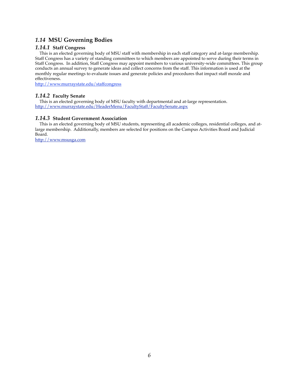# *1.14* **MSU Governing Bodies**

# *1.14.1* **Staff Congress**

This is an elected governing body of MSU staff with membership in each staff category and at-large membership. Staff Congress has a variety of standing committees to which members are appointed to serve during their terms in Staff Congress. In addition, Staff Congress may appoint members to various university-wide committees. This group conducts an annual survey to generate ideas and collect concerns from the staff. This information is used at the monthly regular meetings to evaluate issues and generate policies and procedures that impact staff morale and effectiveness.

<http://www.murraystate.edu/staffcongress>

# *1.14.2* **Faculty Senate**

This is an elected governing body of MSU faculty with departmental and at-large representation. <http://www.murraystate.edu/HeaderMenu/FacultyStaff/FacultySenate.aspx>

# *1.14.3* **Student Government Association**

This is an elected governing body of MSU students, representing all academic colleges, residential colleges, and atlarge membership. Additionally, members are selected for positions on the Campus Activities Board and Judicial Board.

<http://www.msusga.com>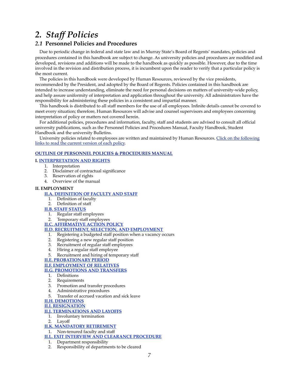# *2. Staff Policies*

# *2.1* **Personnel Policies and Procedures**

Due to periodic change in federal and state law and in Murray State's Board of Regents' mandates, policies and procedures contained in this handbook are subject to change. As university policies and procedures are modified and developed, revisions and additions will be made to the handbook as quickly as possible. However, due to the time involved in the revision and distribution process, it is incumbent upon the reader to verify that a particular policy is the most current.

The policies in this handbook were developed by Human Resources, reviewed by the vice presidents, recommended by the President, and adopted by the Board of Regents. Policies contained in this handbook are intended to increase understanding, eliminate the need for personal decisions on matters of university-wide policy, and help assure uniformity of interpretation and application throughout the university. All administrators have the responsibility for administering these policies in a consistent and impartial manner.

This handbook is distributed to all staff members for the use of all employees. Infinite details cannot be covered to meet every situation; therefore, Human Resources will advise and counsel supervisors and employees concerning interpretation of policy or matters not covered herein.

For additional policies, procedures and information, faculty, staff and students are advised to consult all official university publications, such as the Personnel Policies and Procedures Manual, Faculty Handbook, Student Handbook and the university Bulletins.

University policies related to employees are written and maintained by Human Resources. [Click on the following](http://www.murraystate.edu/HeaderMenu/Offices/HumanResources/MSUPersonnelPoliciesAndProceduresManual.aspx)  [links to read the current version of each policy](http://www.murraystate.edu/HeaderMenu/Offices/HumanResources/MSUPersonnelPoliciesAndProceduresManual.aspx).

#### **[OUTLINE OF PERSONNEL POLICIES & PROCEDURES MANUAL](http://www.murraystate.edu/HeaderMenu/Offices/HumanResources/MSUPersonnelPoliciesAndProceduresManual.aspx)**

#### **I. [INTERPRETATION AND RIGHTS](http://www.murraystate.edu/HeaderMenu/Offices/HumanResources/MSUPersonnelPoliciesAndProceduresManual/InterpretationsAndRights.aspx)**

- 1. Interpretation
- 2. Disclaimer of contractual significance
- 3. Reservation of rights
- 4. Overview of the manual

#### **II. EMPLOYMENT**

#### **[II.A. DEFINITION OF FACULTY AND STAFF](http://www.murraystate.edu/HeaderMenu/Offices/HumanResources/MSUPersonnelPoliciesAndProceduresManual/DefinitionOfFacultyAndStaff.aspx)**

- 1. Definition of faculty
- 2. Definition of staff

#### **[II.B. STAFF STATUS](http://www.murraystate.edu/HeaderMenu/Offices/HumanResources/MSUPersonnelPoliciesAndProceduresManual/StaffStatus.aspx)**

- 1. Regular staff employees
- 2. Temporary staff employees
- **[II.C. AFFIRMATIVE ACTION POLICY](http://www.murraystate.edu/HeaderMenu/Offices/HumanResources/MSUPersonnelPoliciesAndProceduresManual/AffirmativeActionPolicy.aspx)**

#### **[II.D. RECRUITMENT, SELECTION, AND EMPLOYMENT](http://www.murraystate.edu/HeaderMenu/Offices/HumanResources/MSUPersonnelPoliciesAndProceduresManual/RecruitmentSelectionAndEmployment.aspx)**

- 1. Registering a budgeted staff position when a vacancy occurs
- 2. Registering a new regular staff position
- 
- 3. Recruitment of regular staff employees<br>4. Hiring a regular staff employee Hiring a regular staff employee
- Recruitment and hiring of temporary staff

#### **[II.E. PROBATIONARY PERIOD](http://www.murraystate.edu/HeaderMenu/Offices/HumanResources/MSUPersonnelPoliciesAndProceduresManual/ProbationaryPeriod.aspx)**

#### **[II.F. EMPLOYMENT OF RELATIVES](http://www.murraystate.edu/HeaderMenu/Offices/HumanResources/MSUPersonnelPoliciesAndProceduresManual/EmploymentOfRelatives.aspx)**

#### **[II.G. PROMOTIONS AND TRANSFERS](http://www.murraystate.edu/HeaderMenu/Offices/HumanResources/MSUPersonnelPoliciesAndProceduresManual/PromotionsAndTransfers.aspx)**

- 1. Definitions<br>2 Requirement
- **Requirements**
- 3. Promotion and transfer procedures<br>4. Administrative procedures
- 4. Administrative procedures
- 5. Transfer of accrued vacation and sick leave

# **[II.H. DEMOTIONS](http://www.murraystate.edu/HeaderMenu/Offices/HumanResources/MSUPersonnelPoliciesAndProceduresManual/Demotions.aspx)**

**[II.I. RESIGNATION](http://www.murraystate.edu/HeaderMenu/Offices/HumanResources/MSUPersonnelPoliciesAndProceduresManual/Resignation.aspx)**

#### **[II.J. TERMINATIONS AND LAYOFFS](http://www.murraystate.edu/HeaderMenu/Offices/HumanResources/MSUPersonnelPoliciesAndProceduresManual/TerminationsAndLayoffs.aspx)**

- 1. Involuntary termination
- 2. Layoff

#### **[II.K. MANDATORY RETIREMENT](http://www.murraystate.edu/HeaderMenu/Offices/HumanResources/MSUPersonnelPoliciesAndProceduresManual/MandatoryRetirement.aspx)**

1. Non-tenured faculty and staff

**[II.L. EXIT INTERVIEW AND CLEARANCE PROCEDURE](http://www.murraystate.edu/HeaderMenu/Offices/HumanResources/MSUPersonnelPoliciesAndProceduresManual/ExitInterviewAndClearanceProcedure.aspx)**

- 1. Department responsibility
- 2. Responsibility of departments to be cleared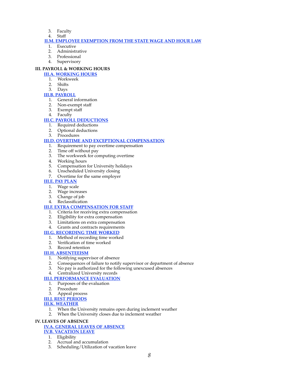- 3. Faculty
- 4. Staff

#### **[II.M. EMPLOYEE EXEMPTION FROM THE STATE WAGE AND HOUR LAW](http://www.murraystate.edu/HeaderMenu/Offices/HumanResources/MSUPersonnelPoliciesAndProceduresManual/EmployeeExemptionFromStateWageAndHourLaw.aspx)**

- 1. Executive
- 2. Administrative
- 3. Professional
- Supervisory

# **III. PAYROLL & WORKING HOURS**

# **[III.A. WORKING HOURS](http://www.murraystate.edu/HeaderMenu/Offices/HumanResources/MSUPersonnelPoliciesAndProceduresManual/WorkingHours.aspx)**

- 1. Workweek
- 2. Shifts
- 3. Days

# **[III.B. PAYROLL](http://www.murraystate.edu/HeaderMenu/Offices/HumanResources/MSUPersonnelPoliciesAndProceduresManual/Payroll.aspx)**

- 1. General information
- 2. Non-exempt staff
- 3. Exempt staff
- 4. Faculty

# **[III.C. PAYROLL DEDUCTIONS](http://www.murraystate.edu/HeaderMenu/Offices/HumanResources/MSUPersonnelPoliciesAndProceduresManual/PayrollDeductions.aspx)**

- 1. Required deductions
- 2. Optional deductions
- 3. Procedures

# **[III.D. OVERTIME AND EXCEPTIONAL COMPENSATION](http://www.murraystate.edu/HeaderMenu/Offices/HumanResources/MSUPersonnelPoliciesAndProceduresManual/OvertimeAndExceptionalCompensation.aspx)**

- 1. Requirement to pay overtime compensation
- 2. Time off without pay
- 3. The workweek for computing overtime
- 4. Working hours
- 5. Compensation for University holidays
- 6. Unscheduled University closing
- 7. Overtime for the same employer

#### **[III.E. PAY PLAN](http://www.murraystate.edu/HeaderMenu/Offices/HumanResources/MSUPersonnelPoliciesAndProceduresManual/PayPlan.aspx)**

- 1. Wage scale
- 2. Wage increases
- 3. Change of job
- 4. Reclassification

#### **[III.F. EXTRA COMPENSATION FOR STAFF](http://www.murraystate.edu/HeaderMenu/Offices/HumanResources/MSUPersonnelPoliciesAndProceduresManual/ExtraCompensationForStaff.aspx)**

- 1. Criteria for receiving extra compensation
- 2. Eligibility for extra compensation
- 3. Limitations on extra compensation
- 4. Grants and contracts requirements

#### **[III.G. RECORDING TIME WORKED](http://www.murraystate.edu/HeaderMenu/Offices/HumanResources/MSUPersonnelPoliciesAndProceduresManual/RecordingTimeWorked.aspx)**

- 1. Method of recording time worked
- 2. Verification of time worked
- 3. Record retention

#### **[III.H. ABSENTEEISM](http://www.murraystate.edu/HeaderMenu/Offices/HumanResources/MSUPersonnelPoliciesAndProceduresManual/Absenteeism.aspx)**

- 1. Notifying supervisor of absence<br>2. Consequences of failure to notify
- 2. Consequences of failure to notify supervisor or department of absence 3. No pay is authorized for the following unexcused absences
- No pay is authorized for the following unexcused absences
- 4. Centralized University records

#### **[III.I. PERFORMANCE EVALUATION](http://www.murraystate.edu/HeaderMenu/Offices/HumanResources/MSUPersonnelPoliciesAndProceduresManual/PerformanceEvaluation.aspx)**

- 1. Purposes of the evaluation
- 2. Procedure
- 3. Appeal process
- **[III.J. REST PERIODS](http://www.murraystate.edu/HeaderMenu/Offices/HumanResources/MSUPersonnelPoliciesAndProceduresManual/RestPeriods.aspx)**

# **[III.K. WEATHER](http://www.murraystate.edu/HeaderMenu/Offices/HumanResources/MSUPersonnelPoliciesAndProceduresManual/Weather.aspx)**

- 1. When the University remains open during inclement weather
- 2. When the University closes due to inclement weather

#### **IV. LEAVES OF ABSENCE**

#### **[IV.A. GENERAL LEAVES OF ABSENCE](http://www.murraystate.edu/HeaderMenu/Offices/HumanResources/MSUPersonnelPoliciesAndProceduresManual/GeneralLeavesOfAbsence.aspx)**

#### **[IV.B. VACATION LEAVE](http://www.murraystate.edu/HeaderMenu/Offices/HumanResources/MSUPersonnelPoliciesAndProceduresManual/VacationLeave.aspx)**

- 1. Eligibility<br>2. Accrual ar
- Accrual and accumulation
- 3. Scheduling/Utilization of vacation leave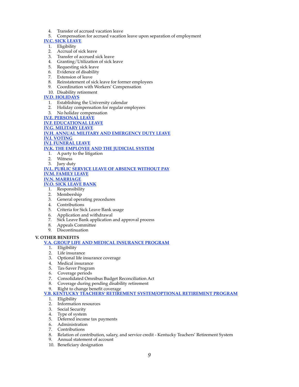- 4. Transfer of accrued vacation leave
- 5. Compensation for accrued vacation leave upon separation of employment

**[IV.C. SICK LEAVE](http://www.murraystate.edu/HeaderMenu/Offices/HumanResources/MSUPersonnelPoliciesAndProceduresManual/SickLeave.aspx)**

- 1. Eligibility
- 2. Accrual of sick leave
- 3. Transfer of accrued sick leave
- 4. Granting/Utilization of sick leave
- 5. Requesting sick leave
- 6. Evidence of disability
- 7. Extension of leave
- 8. Reinstatement of sick leave for former employees
- 9. Coordination with Workers' Compensation

# 10. Disability retirement

# **[IV.D. HOLIDAYS](http://www.murraystate.edu/HeaderMenu/Offices/HumanResources/MSUPersonnelPoliciesAndProceduresManual/Holidays.aspx)**

- 1. Establishing the University calendar
- 2. Holiday compensation for regular employees
- 3. No holiday compensation
- **[IV.E. PERSONAL LEAVE](http://www.murraystate.edu/HeaderMenu/Offices/HumanResources/MSUPersonnelPoliciesAndProceduresManual/PersonalLeave.aspx)**

**[IV.F. EDUCATIONAL LEAVE](http://www.murraystate.edu/HeaderMenu/Offices/HumanResources/MSUPersonnelPoliciesAndProceduresManual/EducationalLeave.aspx) [IV.G. MILITARY LEAVE](http://www.murraystate.edu/HeaderMenu/Offices/HumanResources/MSUPersonnelPoliciesAndProceduresManual/MilitaryLeave.aspx) [IV.H. ANNUAL MILITARY AND EMERGENCY DUTY LEAVE](http://www.murraystate.edu/HeaderMenu/Offices/HumanResources/MSUPersonnelPoliciesAndProceduresManual/AnnualMilitaryAndEmergencyDutyLeave.aspx)**

**[IV.I. VOTING](http://www.murraystate.edu/HeaderMenu/Offices/HumanResources/MSUPersonnelPoliciesAndProceduresManual/Voting.aspx)**

#### **[IV.J. FUNERAL LEAVE](http://www.murraystate.edu/HeaderMenu/Offices/HumanResources/MSUPersonnelPoliciesAndProceduresManual/FuneralLeave.aspx)**

**[IV.K. THE EMPLOYEE AND THE JUDICIAL SYSTEM](http://www.murraystate.edu/HeaderMenu/Offices/HumanResources/MSUPersonnelPoliciesAndProceduresManual/TheEmployeeAndTheJudicialSystem.aspx)**

- 1. A party to the litigation
- 2. Witness
- 3. Jury duty

#### **[IV.L. PUBLIC SERVICE LEAVE OF ABSENCE WITHOUT PAY](http://www.murraystate.edu/HeaderMenu/Offices/HumanResources/MSUPersonnelPoliciesAndProceduresManual/PublicServiceLeaveOfAbsenceWithoutPay.aspx) [IV.M. FAMILY LEAVE](http://www.murraystate.edu/HeaderMenu/Offices/HumanResources/MSUPersonnelPoliciesAndProceduresManual/FamilyAndMedicalLeave.aspx)**

**[IV.N. MARRIAGE](http://www.murraystate.edu/HeaderMenu/Offices/HumanResources/MSUPersonnelPoliciesAndProceduresManual/Marriage.aspx)**

#### **[IV.O. SICK LEAVE BANK](http://www.murraystate.edu/HeaderMenu/Offices/HumanResources/MSUPersonnelPoliciesAndProceduresManual/SickLeaveBankPolicy.aspx)**

- 1. Responsibility
- 2. Membership
- 3. General operating procedures
- 4. Contributions
- 5. Criteria for Sick Leave Bank usage
- 6. Application and withdrawal
- 7. Sick Leave Bank application and approval process
- 8. Appeals Committee
- 9. Discontinuation

#### **V. OTHER BENEFITS**

#### **[V.A. GROUP LIFE AND MEDICAL INSURANCE PROGRAM](http://www.murraystate.edu/HeaderMenu/Offices/HumanResources/MSUPersonnelPoliciesAndProceduresManual/GroupLifeMedicalInsuranceAndFlexibleSpending.aspx)**

- 1. Eligibility
- 2. Life insurance
- 3. Optional life insurance coverage
- 4. Medical insurance
- 5. Tax-Saver Program
- 6. Coverage periods
- 7. Consolidated Omnibus Budget Reconciliation Act
- 8. Coverage during pending disability retirement
- 9. Right to change benefit coverage
- **[V.B. KENTUCKY TEACHERS' RETIREMENT SYSTEM/OPTIONAL RETIREMENT PROGRAM](http://www.murraystate.edu/HeaderMenu/Offices/HumanResources/MSUPersonnelPoliciesAndProceduresManual/KentuckyTeachersRetirementSystemOptionalRetirement.aspx)**
	- 1. Eligibility
	- 2. Information resources
	- 3. Social Security
	- 4. Type of system
	- 5. Deferred income tax payments
	- 6. Administration
	- 7. Contributions
	- 8. Relation of contribution, salary, and service credit Kentucky Teachers' Retirement System
	- 9. Annual statement of account
	- 10. Beneficiary designation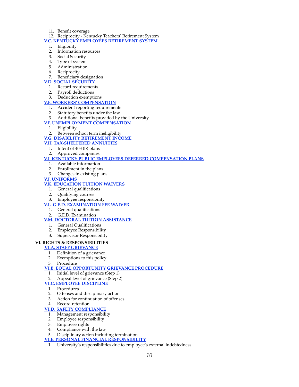11. Benefit coverage

# 12. Reciprocity - Kentucky Teachers' Retirement System

- **[V.C. KENTUCKY EMPLOYEES RETIREMENT SYSTEM](http://www.murraystate.edu/HeaderMenu/Offices/HumanResources/MSUPersonnelPoliciesAndProceduresManual/KentuckyEmployeesRetirementSystem.aspx)**
	- 1. Eligibility
	- 2. Information resources
	- 3. Social Security
	- 4. Type of system
	- 5. Administration
	- 6. Reciprocity
	- 7. Beneficiary designation

# **[V.D. SOCIAL SECURITY](http://www.murraystate.edu/HeaderMenu/Offices/HumanResources/MSUPersonnelPoliciesAndProceduresManual/SocialSecurity.aspx)**

- 1. Record requirements
- 2. Payroll deductions
- 3. Deduction exemptions

# **[V.E. WORKERS' COMPENSATION](http://www.murraystate.edu/HeaderMenu/Offices/HumanResources/MSUPersonnelPoliciesAndProceduresManual/WorkersCompensation.aspx)**

- 1. Accident reporting requirements
- 2. Statutory benefits under the law
- 3. Additional benefits provided by the University

# **[V.F. UNEMPLOYMENT COMPENSATION](http://www.murraystate.edu/HeaderMenu/Offices/HumanResources/MSUPersonnelPoliciesAndProceduresManual/UnemploymentCompensation.aspx)**

- 1. Eligibility
- 2. Between school term ineligibility

# **[V.G. DISABILITY RETIREMENT INCOME](http://www.murraystate.edu/HeaderMenu/Offices/HumanResources/MSUPersonnelPoliciesAndProceduresManual/DisabilityRetirementIncome.aspx)**

- **[V.H. TAX-SHELTERED ANNUITIES](http://www.murraystate.edu/HeaderMenu/Offices/HumanResources/MSUPersonnelPoliciesAndProceduresManual/TaxShelteredAnnuities.aspx)**
	- 1. Intent of 403 (b) plans
	- 2. Approved companies

# **[V.I. KENTUCKY PUBLIC EMPLOYEES DEFERRED COMPENSATION PLANS](http://www.murraystate.edu/HeaderMenu/Offices/HumanResources/MSUPersonnelPoliciesAndProceduresManual/KentuckyPublicEmployeesDeferredCompensation.aspx)**

- 1. Available information
- 2. Enrollment in the plans
- 3. Changes in existing plans

# **[V.J. UNIFORMS](http://www.murraystate.edu/HeaderMenu/Offices/HumanResources/MSUPersonnelPoliciesAndProceduresManual/Uniforms.aspx)**

# **[V.K. EDUCATION TUITION WAIVERS](http://www.murraystate.edu/HeaderMenu/Offices/HumanResources/MSUPersonnelPoliciesAndProceduresManual/EducationTuitionWaivers.aspx)**

- 1. General qualifications
- 2. Qualifying courses
- 3. Employee responsibility

# **[V.L. G.E.D. EXAMINATION FEE WAIVER](http://www.murraystate.edu/HeaderMenu/Offices/HumanResources/MSUPersonnelPoliciesAndProceduresManual/GEDExaminationFeeWaiver.aspx)**

- 1. General qualifications
- 2. G.E.D. Examination

# **[V.M. DOCTORAL TUITION ASSISTANCE](http://www.murraystate.edu/HeaderMenu/Offices/HumanResources/MSUPersonnelPoliciesAndProceduresManual/doctoralTuitionAssistance.aspx)**

- 1. General Qualifications
- 2. Employee Responsibility
- 3. Supervisor Responsibility

# **VI. RIGHTS & RESPONSIBILITIES**

# **[VI.A. STAFF GRIEVANCE](http://www.murraystate.edu/HeaderMenu/Offices/HumanResources/MSUPersonnelPoliciesAndProceduresManual/StaffGrievance.aspx)**

- 1. Definition of a grievance
- 2. Exemptions to this policy
- 3. Procedure

# **[VI.B. EQUAL OPPORTUNITY GRIEVANCE PROCEDURE](http://www.murraystate.edu/HeaderMenu/Offices/HumanResources/MSUPersonnelPoliciesAndProceduresManual/EqualOpportunityGrievanceProcedure.aspx)**

- 1. Initial level of grievance (Step 1)
- 2. Appeal level of grievance (Step 2)

# **[VI.C. EMPLOYEE DISCIPLINE](http://www.murraystate.edu/HeaderMenu/Offices/HumanResources/MSUPersonnelPoliciesAndProceduresManual/EmployeeDiscipline.aspx)**

- 1. Procedures
- 2. Offenses and disciplinary action
- 3. Action for continuation of offenses
- 4. Record retention

# **[VI.D. SAFETY COMPLIANCE](http://www.murraystate.edu/HeaderMenu/Offices/HumanResources/MSUPersonnelPoliciesAndProceduresManual/SafetyCompliance.aspx)**

- 1. Management responsibility
- 2. Employee responsibility
- 3. Employee rights 4. Compliance with
- Compliance with the law
- 5. Disciplinary action including termination

# **[VI.E. PERSONAL FINANCIAL RESPONSIBILITY](http://www.murraystate.edu/HeaderMenu/Offices/HumanResources/MSUPersonnelPoliciesAndProceduresManual/PersonalFinancialResponsibility.aspx)**

1. University's responsibilities due to employee's external indebtedness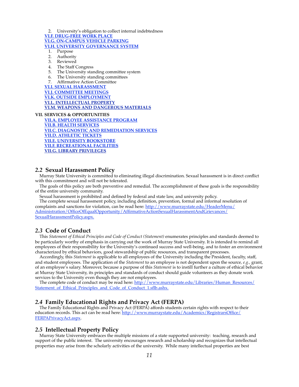2. University's obligation to collect internal indebtedness

**[VI.F. DRUG-FREE WORK PLACE](http://www.murraystate.edu/HeaderMenu/Offices/HumanResources/MSUPersonnelPoliciesAndProceduresManual/DrugFreeWorkPlace.aspx)**

**[VI.G. ON-CAMPUS VEHICLE PARKING](http://www.murraystate.edu/HeaderMenu/Offices/HumanResources/MSUPersonnelPoliciesAndProceduresManual/OnCampusVehicleParking.aspx)**

**[VI.H. UNIVERSITY GOVERNANCE SYSTEM](http://www.murraystate.edu/HeaderMenu/Offices/HumanResources/MSUPersonnelPoliciesAndProceduresManual/UniversityGovernanceSystem.aspx)**

1. Purpose

- 2. Authority
- 3. Reviewed
- 4. The Staff Congress
- 5. The University standing committee system
- 6. The University standing committees
- 7. Affirmative Action Committee

**[VI.I. SEXUAL HARASSMENT](http://www.murraystate.edu/HeaderMenu/Offices/HumanResources/MSUPersonnelPoliciesAndProceduresManual/SexualHarassment.aspx) [VI.J. COMMITTEE MEETINGS](http://www.murraystate.edu/HeaderMenu/Offices/HumanResources/MSUPersonnelPoliciesAndProceduresManual/CommitteeMeetings.aspx) [VI.K. OUTSIDE EMPLOYMENT](http://www.murraystate.edu/HeaderMenu/Offices/HumanResources/MSUPersonnelPoliciesAndProceduresManual/OutsideEmployment.aspx) [VI.L. INTELLECTUAL PROPERTY](http://www.murraystate.edu/HeaderMenu/Offices/HumanResources/MSUPersonnelPoliciesAndProceduresManual/intellectualproperty.aspx) [VI.M. WEAPONS AND DANGEROUS MATERIALS](http://www.murraystate.edu/HeaderMenu/Offices/HumanResources/MSUPersonnelPoliciesAndProceduresManual/weaponsanddangerousmaterials.aspx)**

**VII. SERVICES & OPPORTUNITIES**

**[VII.A. EMPLOYEE ASSISTANCE PROGRAM](http://www.murraystate.edu/HeaderMenu/Offices/HumanResources/MSUPersonnelPoliciesAndProceduresManual/EmployeeAssistanceProgram.aspx) [VII.B. HEALTH SERVICES](http://www.murraystate.edu/HeaderMenu/Offices/HumanResources/MSUPersonnelPoliciesAndProceduresManual/HealthServices.aspx) [VII.C. DIAGNOSTIC AND REMEDIATION SERVICES](http://www.murraystate.edu/HeaderMenu/Offices/HumanResources/MSUPersonnelPoliciesAndProceduresManual/DiagnosticAndRemediationServices.aspx) [VII.D. ATHLETIC TICKETS](http://www.murraystate.edu/HeaderMenu/Offices/HumanResources/MSUPersonnelPoliciesAndProceduresManual/AthleticTickets.aspx) [VII.E. UNIVERSITY BOOKSTORE](http://www.murraystate.edu/HeaderMenu/Offices/HumanResources/MSUPersonnelPoliciesAndProceduresManual/UniversityBookstore.aspx) [VII.F. RECREATIONAL FACILITIES](http://www.murraystate.edu/HeaderMenu/Offices/HumanResources/MSUPersonnelPoliciesAndProceduresManual/RecreationalFacilities.aspx) [VII.G. LIBRARY PRIVILEGES](http://www.murraystate.edu/HeaderMenu/Offices/HumanResources/MSUPersonnelPoliciesAndProceduresManual/LibraryPrivileges.aspx)**

# *2.2* **Sexual Harassment Policy**

Murray State University is committed to eliminating illegal discrimination. Sexual harassment is in direct conflict with this commitment and will not be tolerated.

The goals of this policy are both preventive and remedial. The accomplishment of these goals is the responsibility of the entire university community.

Sexual harassment is prohibited and defined by federal and state law, and university policy.

The complete sexual harassment policy, including definition, prevention, formal and informal resolution of complaints and sanctions for violation, can be read here: [http://www.murraystate.edu/HeaderMenu/](http://www.murraystate.edu/HeaderMenu/Administration/OfficeOfEqualOpportunity/AffirmativeActionSexualHarassmentAndGrievances/SexualHarassmentPolicy.aspx) [Administration/OfficeOfEqualOpportunity/AffirmativeActionSexualHarassmentAndGrievances/](http://www.murraystate.edu/HeaderMenu/Administration/OfficeOfEqualOpportunity/AffirmativeActionSexualHarassmentAndGrievances/SexualHarassmentPolicy.aspx) [SexualHarassmentPolicy.aspx.](http://www.murraystate.edu/HeaderMenu/Administration/OfficeOfEqualOpportunity/AffirmativeActionSexualHarassmentAndGrievances/SexualHarassmentPolicy.aspx)

# *2.3* **Code of Conduct**

This *Statement of Ethical Principles and Code of Conduct (Statement)* enumerates principles and standards deemed to be particularly worthy of emphasis in carrying out the work of Murray State University. It is intended to remind all employees of their responsibility for the University's continued success and well-being, and to foster an environment characterized by ethical behaviors, good stewardship of public resources, and transparent processes.

Accordingly, this *Statement* is applicable to all employees of the University including the President, faculty, staff, and student employees. The application of the *Statement* to an employee is not dependent upon the source*, e.g.,* grant, of an employee's salary. Moreover, because a purpose of this *Statement* is to instill further a culture of ethical behavior at Murray State University, its principles and standards of conduct should guide volunteers as they donate work services to the University even though they are not employees.

The complete code of conduct may be read here: [http://www.murraystate.edu/Libraries/Human\\_Resources/](http://www.murraystate.edu/Libraries/Human_Resources/Statement_of_Ethical_Principles_and_Code_of_Conduct_1.sflb.ashx) Statement of Ethical Principles and Code of Conduct 1.sflb.ashx.

# *2.4* **Family Educational Rights and Privacy Act (FERPA)**

The Family Educational Rights and Privacy Act (FERPA) affords students certain rights with respect to their education records. This act can be read here: [http://www.murraystate.edu/Academics/RegistrarsOffice/](http://www.murraystate.edu/Academics/RegistrarsOffice/FERPAPrivacyAct.aspx) [FERPAPrivacyAct.aspx.](http://www.murraystate.edu/Academics/RegistrarsOffice/FERPAPrivacyAct.aspx)

# *2.5* **Intellectual Property Policy**

Murray State University embraces the multiple missions of a state supported university: teaching, research and support of the public interest. The university encourages research and scholarship and recognizes that intellectual properties may arise from the scholarly activities of the university. While many intellectual properties are best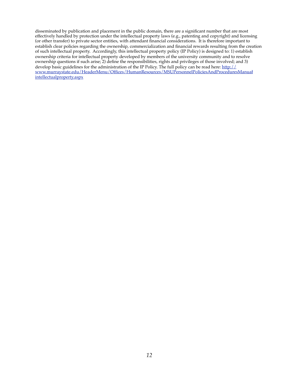disseminated by publication and placement in the public domain, there are a significant number that are most effectively handled by protection under the intellectual property laws (e.g., patenting and copyright) and licensing (or other transfer) to private sector entities, with attendant financial considerations. It is therefore important to establish clear policies regarding the ownership, commercialization and financial rewards resulting from the creation of such intellectual property. Accordingly, this intellectual property policy (IP Policy) is designed to: 1) establish ownership criteria for intellectual property developed by members of the university community and to resolve ownership questions if such arise; 2) define the responsibilities, rights and privileges of those involved; and 3) develop basic guidelines for the administration of the IP Policy. The full policy can be read here: [http://](http://www.murraystate.edu/HeaderMenu/Offices/HumanResources/MSUPersonnelPoliciesAndProceduresManual/intellectualproperty.aspx) [www.murraystate.edu/HeaderMenu/Offices/HumanResources/MSUPersonnelPoliciesAndProceduresManua](http://www.murraystate.edu/HeaderMenu/Offices/HumanResources/MSUPersonnelPoliciesAndProceduresManual/intellectualproperty.aspx)ł [intellectualproperty.aspx](http://www.murraystate.edu/HeaderMenu/Offices/HumanResources/MSUPersonnelPoliciesAndProceduresManual/intellectualproperty.aspx)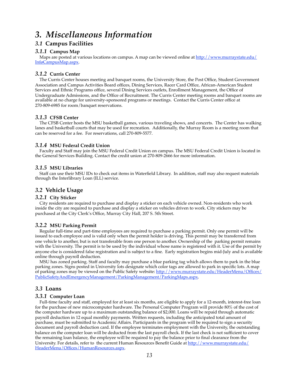# *3. Miscellaneous Information*

# *3.1* **Campus Facilities**

#### *3.1.1* **Campus Map**

Maps are posted at various locations on campus. A map can be viewed online at [http://www.murraystate.edu/](http://www.murraystate.edu/Info/CampusMap.aspx) [InføCampusMap.aspx.](http://www.murraystate.edu/Info/CampusMap.aspx)

# *3.1.2* **Curris Center**

The Curris Center houses meeting and banquet rooms, the University Store, the Post Office, Student Government Association and Campus Activities Board offices, Dining Services, Racer Card Office, African-American Student Services and Ethnic Programs office, several Dining Services outlets, Enrollment Management, the Office of Undergraduate Admissions, and the Office of Recruitment. The Curris Center meeting rooms and banquet rooms are available at no charge for university-sponsored programs or meetings. Contact the Curris Center office at 270-809-6985 for room/banquet reservations.

#### *3.1.3* **CFSB Center**

The CFSB Center hosts the MSU basketball games, various traveling shows, and concerts. The Center has walking lanes and basketball courts that may be used for recreation. Additionally, the Murray Room is a meeting room that can be reserved for a fee. For reservations, call 270-809-5577.

#### *3.1.4* **MSU Federal Credit Union**

Faculty and Staff may join the MSU Federal Credit Union on campus. The MSU Federal Credit Union is located in the General Services Building. Contact the credit union at 270-809-2666 for more information.

#### *3.1.5* **MSU Libraries**

Staff can use their MSU IDs to check out items in Waterfield Library. In addition, staff may also request materials through the Interlibrary Loan (ILL) service.

# *3.2* **Vehicle Usage**

#### *3.2.1* **City Sticker**

City residents are required to purchase and display a sticker on each vehicle owned. Non-residents who work inside the city are required to purchase and display a sticker on vehicles driven to work. City stickers may be purchased at the City Clerk's Office, Murray City Hall, 207 S. 5th Street.

#### *3.2.2* **MSU Parking Permit**

Regular full-time and part-time employees are required to purchase a parking permit. Only one permit will be issued to each employee and is valid only when the permit holder is driving. This permit may be transferred from one vehicle to another, but is not transferable from one person to another. Ownership of the parking permit remains with the University. The permit is to be used by the individual whose name is registered with it. Use of the permit by anyone else is considered false registration and is subject to a fine. Early registration begins mid-July and is available online through payroll deduction.

MSU has zoned parking. Staff and faculty may purchase a blue parking tag which allows them to park in the blue parking zones. Signs posted in University lots designate which color tags are allowed to park in specific lots. A map of parking zones may be viewed on the Public Safety website: [http://www.murraystate.edu/HeaderMenu/Offices/](http://www.murraystate.edu/HeaderMenu/Offices/PublicSafetyAndEmergencyManagement/ParkingManagement/ParkingMaps.aspx) [PublicSafetyAndEmergencyManagement/ParkingManagement/ParkingMaps.aspx](http://www.murraystate.edu/HeaderMenu/Offices/PublicSafetyAndEmergencyManagement/ParkingManagement/ParkingMaps.aspx).

# *3.3* **Loans**

#### *3.3.1* **Computer Loan**

Full-time faculty and staff, employed for at least six months, are eligible to apply for a 12-month, interest-free loan for the purchase of new microcomputer hardware. The Personal Computer Program will provide 80% of the cost of the computer hardware up to a maximum outstanding balance of \$2,000. Loans will be repaid through automatic payroll deduction in 12 equal monthly payments. Written requests, including the anticipated total amount of purchase, must be submitted to Academic Affairs. Participants in the program will be required to sign a security document and payroll deduction card. If the employee terminates employment with the University, the outstanding balance on the computer loan will be deducted from the last payroll check. If the last check is not sufficient to cover the remaining loan balance, the employee will be required to pay the balance prior to final clearance from the University. For details, refer to the current Human Resources Benefit Guide at [http://www.murraystate.edu/](http://www.murraystate.edu/HeaderMenu/Offices/HumanResources.aspx) [HeaderMenu/Offices/HumanResources.aspx.](http://www.murraystate.edu/HeaderMenu/Offices/HumanResources.aspx)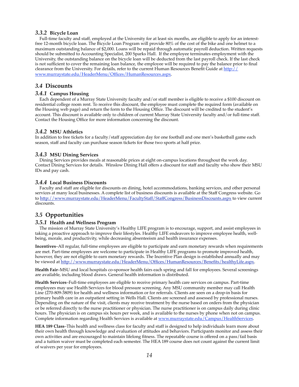#### *3.3.2* **Bicycle Loan**

Full-time faculty and staff, employed at the University for at least six months, are eligible to apply for an interestfree 12-month bicycle loan. The Bicycle Loan Program will provide 80% of the cost of the bike and one helmet to a maximum outstanding balance of \$2,000. Loans will be repaid through automatic payroll deduction. Written requests should be submitted to Accounting Specialist, 200 Sparks Hall. If the employee terminates employment with the University, the outstanding balance on the bicycle loan will be deducted from the last payroll check. If the last check is not sufficient to cover the remaining loan balance, the employee will be required to pay the balance prior to final clearance from the University. For details, refer to the current Human Resources Benefit Guide at  $\frac{http://}{$ [www.murraystate.edu/HeaderMenu/Offices/HumanResources.aspx](http://www.murraystate.edu/HeaderMenu/Offices/HumanResources.aspx).

#### *3.4* **Discounts**

#### *3.4.1* **Campus Housing**

Each dependent of a Murray State University faculty and/or staff member is eligible to receive a \$100 discount on residential college room rent. To receive this discount, the employee must complete the required form (available on the Housing web page) and return the form to the Housing Office. The discount will be credited to the student's account. This discount is available only to children of current Murray State University faculty and/or full-time staff. Contact the Housing Office for more information concerning the discount.

#### *3.4.2* **MSU Athletics**

In addition to free tickets for a faculty/staff appreciation day for one football and one men's basketball game each season, staff and faculty can purchase season tickets for those two sports at half price.

#### *3.4.3* **MSU Dining Services**

Dining Services provides meals at reasonable prices at eight on-campus locations throughout the work day. Contact Dining Services for details. Winslow Dining Hall offers a discount for staff and faculty who show their MSU IDs and pay cash.

#### *3.4.4* **Local Business Discounts**

Faculty and staff are eligible for discounts on dining, hotel accommodations, banking services, and other personal services at many local businesses. A complete list of business discounts is available at the Staff Congress website. Go to<http://www.murraystate.edu/HeaderMenu/FacultyStaff/StaffCongress/BusinessDiscounts.aspx>to view current discounts.

# *3.5* **Opportunities**

#### *3.5.1* **Health and Wellness Program**

The mission of Murray State University's Healthy LIFE program is to encourage, support, and assist employees in taking a proactive approach to improve their lifestyles. Healthy LIFE endeavors to improve employee health, wellbeing, morale, and productivity, while decreasing absenteeism and health insurance expenses.

**Incentives**–All regular, full-time employees are eligible to participate and earn monetary rewards when requirements are met. Part-time employees are welcome to participate in Healthy LIFE programs to promote improved health, however, they are not eligible to earn monetary rewards. The Incentive Plan design is established annually and may be viewed at <http://www.murraystate.edu/HeaderMenu/Offices/HumanResources/Benefits/healthyLife.aspx>.

**Health Fair**–MSU and local hospitals co-sponsor health fairs each spring and fall for employees. Several screenings are available, including blood draws. General health information is distributed.

**Health Services**–Full-time employees are eligible to receive primary health care services on campus. Part-time employees may use Health Services for blood pressure screening. Any MSU community member may call Health Line (270-809-3809) for health and wellness information or for referrals. Clients are seen on a drop-in basis for primary health care in an outpatient setting in Wells Hall. Clients are screened and assessed by professional nurses. Depending on the nature of the visit, clients may receive treatment by the nurse based on orders from the physician or be referred directly to the nurse practitioner or physician. The nurse practitioner is on campus daily during clinic hours. The physician is on campus six hours per week, and is available to the nurses by phone when not on campus. Complete information regarding Health Services is available at [www.murraystate.edu/Campus/HealthServices](http://www.murraystate.edu/Campus/HealthServices).

**HEA 189 Class**–This health and wellness class for faculty and staff is designed to help individuals learn more about their own health through knowledge and evaluation of attitudes and behaviors. Participants monitor and assess their own activities and are encouraged to maintain lifelong fitness. The repeatable course is offered on a pass/fail basis and a tuition waiver must be completed each semester. The HEA 189 course does not count against the current limit of waivers per year for employees.